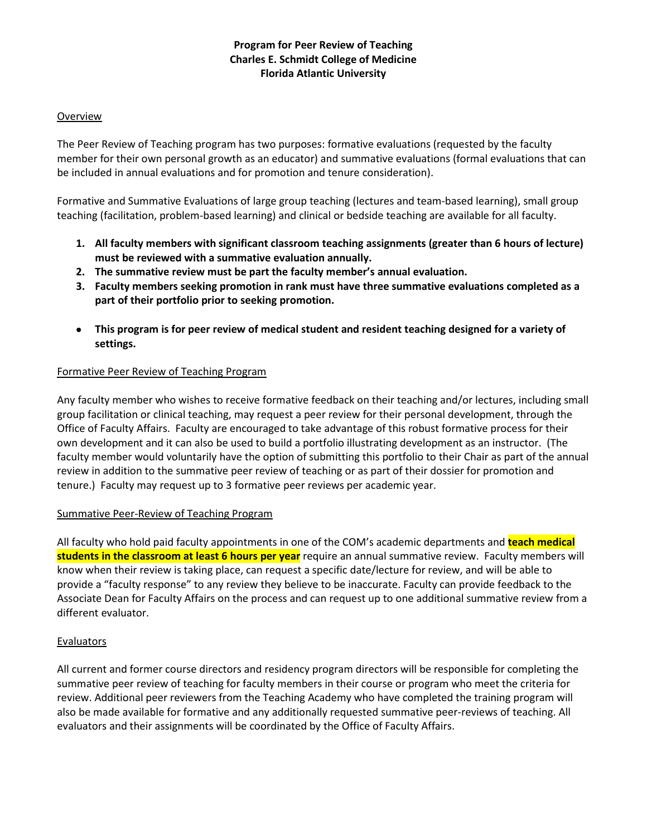# **Program for Peer Review of Teaching Charles E. Schmidt College of Medicine Florida Atlantic University**

### Overview

The Peer Review of Teaching program has two purposes: formative evaluations (requested by the faculty member for their own personal growth as an educator) and summative evaluations (formal evaluations that can be included in annual evaluations and for promotion and tenure consideration).

Formative and Summative Evaluations of large group teaching (lectures and team-based learning), small group teaching (facilitation, problem-based learning) and clinical or bedside teaching are available for all faculty.

- **1. All faculty members with significant classroom teaching assignments (greater than 6 hours of lecture) must be reviewed with a summative evaluation annually.**
- **2. The summative review must be part the faculty member's annual evaluation.**
- **3. Faculty members seeking promotion in rank must have three summative evaluations completed as a part of their portfolio prior to seeking promotion.**
- **This program is for peer review of medical student and resident teaching designed for a variety of settings.**

### Formative Peer Review of Teaching Program

Any faculty member who wishes to receive formative feedback on their teaching and/or lectures, including small group facilitation or clinical teaching, may request a peer review for their personal development, through the Office of Faculty Affairs. Faculty are encouraged to take advantage of this robust formative process for their own development and it can also be used to build a portfolio illustrating development as an instructor. (The faculty member would voluntarily have the option of submitting this portfolio to their Chair as part of the annual review in addition to the summative peer review of teaching or as part of their dossier for promotion and tenure.) Faculty may request up to 3 formative peer reviews per academic year.

#### Summative Peer-Review of Teaching Program

All faculty who hold paid faculty appointments in one of the COM's academic departments and **teach medical students in the classroom at least 6 hours per year** require an annual summative review. Faculty members will know when their review is taking place, can request a specific date/lecture for review, and will be able to provide a "faculty response" to any review they believe to be inaccurate. Faculty can provide feedback to the Associate Dean for Faculty Affairs on the process and can request up to one additional summative review from a different evaluator.

### **Evaluators**

All current and former course directors and residency program directors will be responsible for completing the summative peer review of teaching for faculty members in their course or program who meet the criteria for review. Additional peer reviewers from the Teaching Academy who have completed the training program will also be made available for formative and any additionally requested summative peer-reviews of teaching. All evaluators and their assignments will be coordinated by the Office of Faculty Affairs.